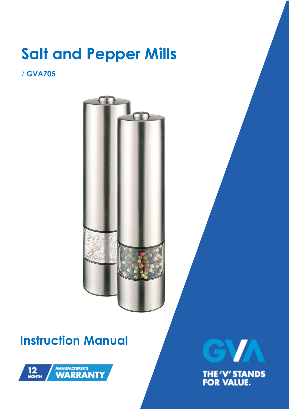# **Salt and Pepper Mills**

### **/ GVA705**



## **Instruction Manual**



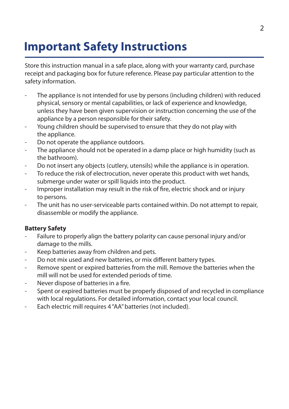## **Important Safety Instructions**

Store this instruction manual in a safe place, along with your warranty card, purchase receipt and packaging box for future reference. Please pay particular attention to the safety information.

- The appliance is not intended for use by persons (including children) with reduced physical, sensory or mental capabilities, or lack of experience and knowledge, unless they have been given supervision or instruction concerning the use of the appliance by a person responsible for their safety.
- Young children should be supervised to ensure that they do not play with the appliance.
- Do not operate the appliance outdoors.
- The appliance should not be operated in a damp place or high humidity (such as the bathroom).
- Do not insert any objects (cutlery, utensils) while the appliance is in operation.
- To reduce the risk of electrocution, never operate this product with wet hands, submerge under water or spill liquids into the product.
- Improper installation may result in the risk of fire, electric shock and or injury to persons.
- The unit has no user-serviceable parts contained within. Do not attempt to repair, disassemble or modify the appliance.

#### **Battery Safety**

- Failure to properly align the battery polarity can cause personal injury and/or damage to the mills.
- Keep batteries away from children and pets.
- Do not mix used and new batteries, or mix different battery types.
- Remove spent or expired batteries from the mill. Remove the batteries when the mill will not be used for extended periods of time.
- Never dispose of batteries in a fire.
- Spent or expired batteries must be properly disposed of and recycled in compliance with local regulations. For detailed information, contact your local council.
- Each electric mill requires 4 "AA" batteries (not included).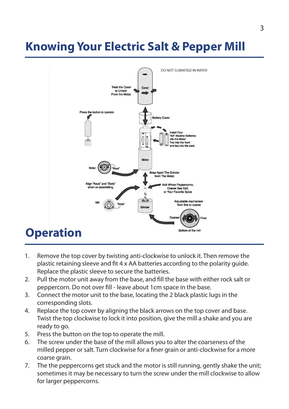## **Knowing Your Electric Salt & Pepper Mill**



- 1. Remove the top cover by twisting anti-clockwise to unlock it. Then remove the plastic retaining sleeve and fit 4 x AA batteries according to the polarity guide. Replace the plastic sleeve to secure the batteries.
- 2. Pull the motor unit away from the base, and fill the base with either rock salt or peppercorn. Do not over fill - leave about 1cm space in the base.
- 3. Connect the motor unit to the base, locating the 2 black plastic lugs in the corresponding slots.
- 4. Replace the top cover by aligning the black arrows on the top cover and base. Twist the top clockwise to lock it into position, give the mill a shake and you are ready to go.
- 5. Press the button on the top to operate the mill.
- 6. The screw under the base of the mill allows you to alter the coarseness of the milled pepper or salt. Turn clockwise for a finer grain or anti-clockwise for a more coarse grain.
- 7. The the peppercorns get stuck and the motor is still running, gently shake the unit; sometimes it may be necessary to turn the screw under the mill clockwise to allow for larger peppercorns.